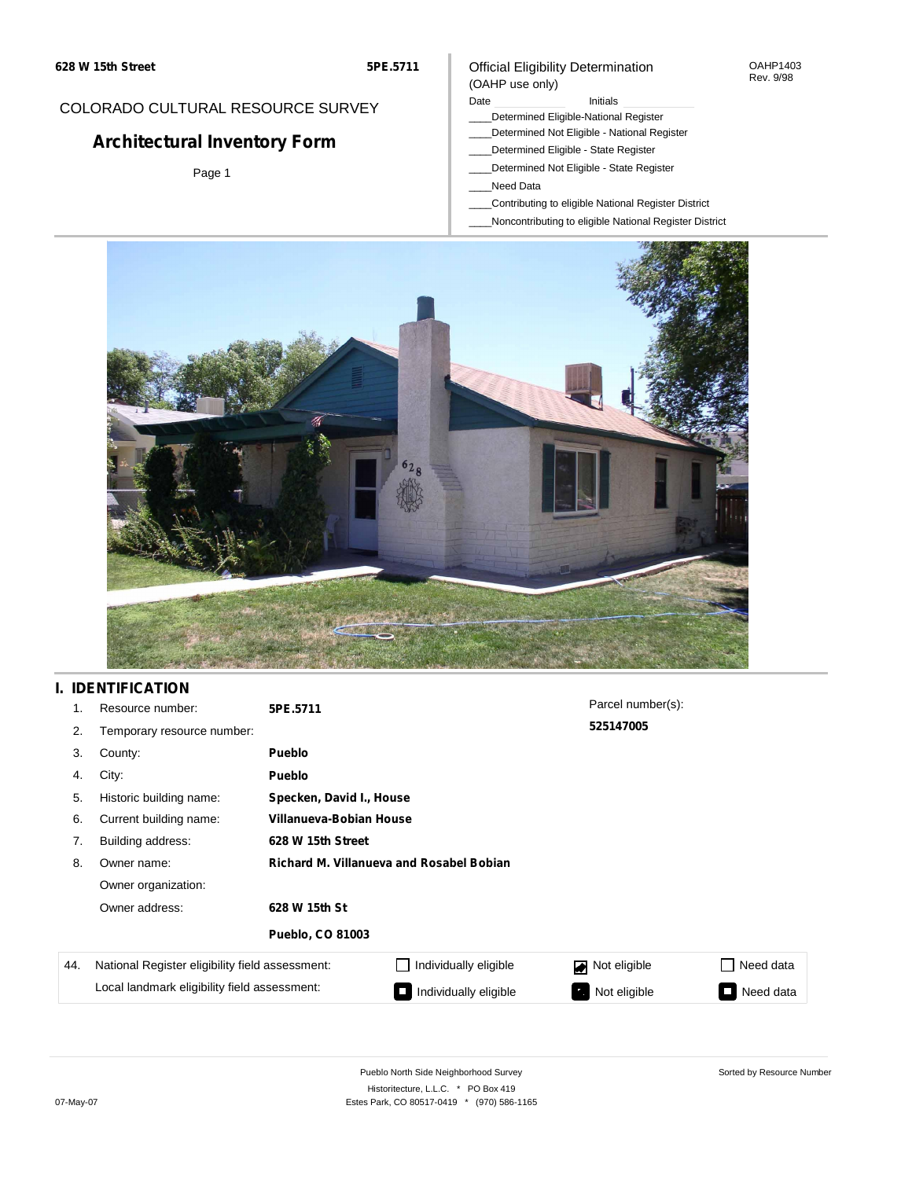### COLORADO CULTURAL RESOURCE SURVEY

# **Architectural Inventory Form**

Page 1

### Official Eligibility Determination (OAHP use only)

#### Date **Initials** Initials

- \_\_\_\_Determined Eligible-National Register
- \_\_\_\_Determined Not Eligible National Register
- \_\_\_\_Determined Eligible State Register
- \_\_\_\_Determined Not Eligible State Register
- \_\_\_\_Need Data
- \_\_\_\_Contributing to eligible National Register District
- \_\_\_\_Noncontributing to eligible National Register District



## **I. IDENTIFICATION**

| 1.  | Resource number:                                | 5PE.5711                                        | Parcel number(s):        |                   |                     |  |  |  |  |
|-----|-------------------------------------------------|-------------------------------------------------|--------------------------|-------------------|---------------------|--|--|--|--|
| 2.  | Temporary resource number:                      |                                                 |                          | 525147005         |                     |  |  |  |  |
| 3.  | County:                                         | <b>Pueblo</b>                                   |                          |                   |                     |  |  |  |  |
| 4.  | City:                                           | <b>Pueblo</b>                                   |                          |                   |                     |  |  |  |  |
| 5.  | Historic building name:                         |                                                 | Specken, David I., House |                   |                     |  |  |  |  |
| 6.  | Current building name:                          | Villanueva-Bobian House                         |                          |                   |                     |  |  |  |  |
| 7.  | Building address:                               | 628 W 15th Street                               |                          |                   |                     |  |  |  |  |
| 8.  | Owner name:                                     | <b>Richard M. Villanueva and Rosabel Bobian</b> |                          |                   |                     |  |  |  |  |
|     | Owner organization:                             |                                                 |                          |                   |                     |  |  |  |  |
|     | Owner address:                                  | 628 W 15th St                                   |                          |                   |                     |  |  |  |  |
|     |                                                 | <b>Pueblo, CO 81003</b>                         |                          |                   |                     |  |  |  |  |
| 44. | National Register eligibility field assessment: |                                                 | Individually eligible    | Not eligible      | Need data           |  |  |  |  |
|     | Local landmark eligibility field assessment:    |                                                 | Individually eligible    | Not eligible<br>ъ | Need data<br>$\Box$ |  |  |  |  |

OAHP1403 Rev. 9/98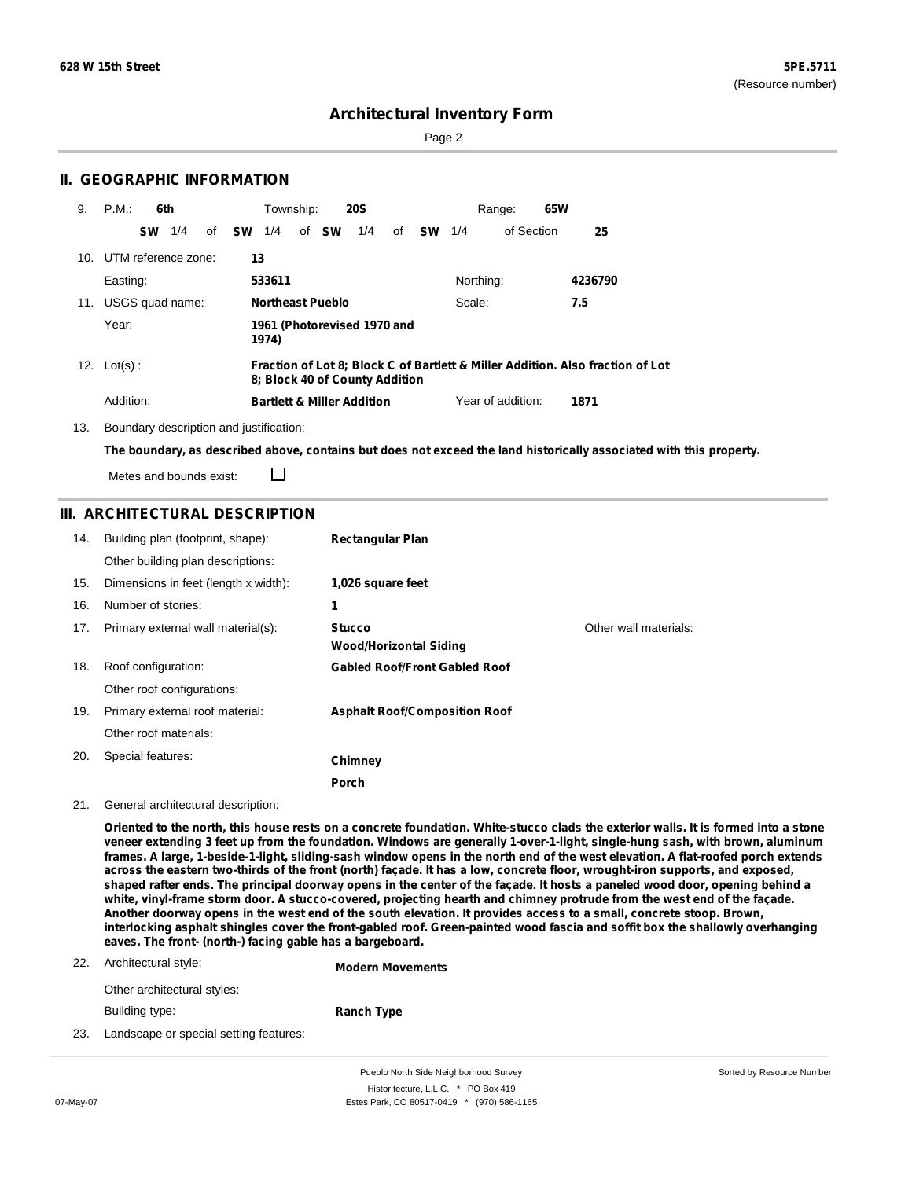Sorted by Resource Number

## **Architectural Inventory Form**

Page 2

## **II. GEOGRAPHIC INFORMATION**

| 9. | P.M.<br>6th             |    |    | Township: |                         | <b>20S</b>                            |    |           |           | Range:            | 65W     |                                                                                |
|----|-------------------------|----|----|-----------|-------------------------|---------------------------------------|----|-----------|-----------|-------------------|---------|--------------------------------------------------------------------------------|
|    | <b>SW</b><br>1/4        | of | sw | 1/4       | of <b>SW</b>            | 1/4                                   | of | <b>SW</b> | 1/4       | of Section        |         | 25                                                                             |
|    | 10. UTM reference zone: |    | 13 |           |                         |                                       |    |           |           |                   |         |                                                                                |
|    | Easting:                |    |    | 533611    |                         |                                       |    |           | Northing: |                   | 4236790 |                                                                                |
|    | 11. USGS quad name:     |    |    |           | <b>Northeast Pueblo</b> |                                       |    |           | Scale:    |                   | 7.5     |                                                                                |
|    | Year:                   |    |    | 1974)     |                         | 1961 (Photorevised 1970 and           |    |           |           |                   |         |                                                                                |
|    | 12. $Lot(s)$ :          |    |    |           |                         | 8: Block 40 of County Addition        |    |           |           |                   |         | Fraction of Lot 8; Block C of Bartlett & Miller Addition. Also fraction of Lot |
|    | Addition:               |    |    |           |                         | <b>Bartlett &amp; Miller Addition</b> |    |           |           | Year of addition: | 1871    |                                                                                |

13. Boundary description and justification:

□

The boundary, as described above, contains but does not exceed the land historically associated with this property.

Metes and bounds exist:

### **III. ARCHITECTURAL DESCRIPTION**

| 14. | Building plan (footprint, shape):    | <b>Rectangular Plan</b>                        |                       |
|-----|--------------------------------------|------------------------------------------------|-----------------------|
|     | Other building plan descriptions:    |                                                |                       |
| 15. | Dimensions in feet (length x width): | 1,026 square feet                              |                       |
| 16. | Number of stories:                   | 1                                              |                       |
| 17. | Primary external wall material(s):   | <b>Stucco</b><br><b>Wood/Horizontal Siding</b> | Other wall materials: |
| 18. | Roof configuration:                  | <b>Gabled Roof/Front Gabled Roof</b>           |                       |
|     | Other roof configurations:           |                                                |                       |
| 19. | Primary external roof material:      | <b>Asphalt Roof/Composition Roof</b>           |                       |
|     | Other roof materials:                |                                                |                       |
| 20. | Special features:                    | Chimney                                        |                       |
|     |                                      | <b>Porch</b>                                   |                       |

21. General architectural description:

Oriented to the north, this house rests on a concrete foundation. White-stucco clads the exterior walls. It is formed into a stone veneer extending 3 feet up from the foundation. Windows are generally 1-over-1-light, single-hung sash, with brown, aluminum frames. A large, 1-beside-1-light, sliding-sash window opens in the north end of the west elevation. A flat-roofed porch extends across the eastern two-thirds of the front (north) façade. It has a low, concrete floor, wrought-iron supports, and exposed, shaped rafter ends. The principal doorway opens in the center of the façade. It hosts a paneled wood door, opening behind a white, vinyl-frame storm door. A stucco-covered, projecting hearth and chimney protrude from the west end of the façade. Another doorway opens in the west end of the south elevation. It provides access to a small, concrete stoop. Brown, interlocking asphalt shingles cover the front-gabled roof. Green-painted wood fascia and soffit box the shallowly overhanging **eaves. The front- (north-) facing gable has a bargeboard.**

|     | 22. Architectural style:               | <b>Modern Movements</b> |  |  |  |
|-----|----------------------------------------|-------------------------|--|--|--|
|     | Other architectural styles:            |                         |  |  |  |
|     | Building type:                         | <b>Ranch Type</b>       |  |  |  |
| 23. | Landscape or special setting features: |                         |  |  |  |

Pueblo North Side Neighborhood Survey Historitecture, L.L.C. \* PO Box 419 07-May-07 **Estes Park, CO 80517-0419** \* (970) 586-1165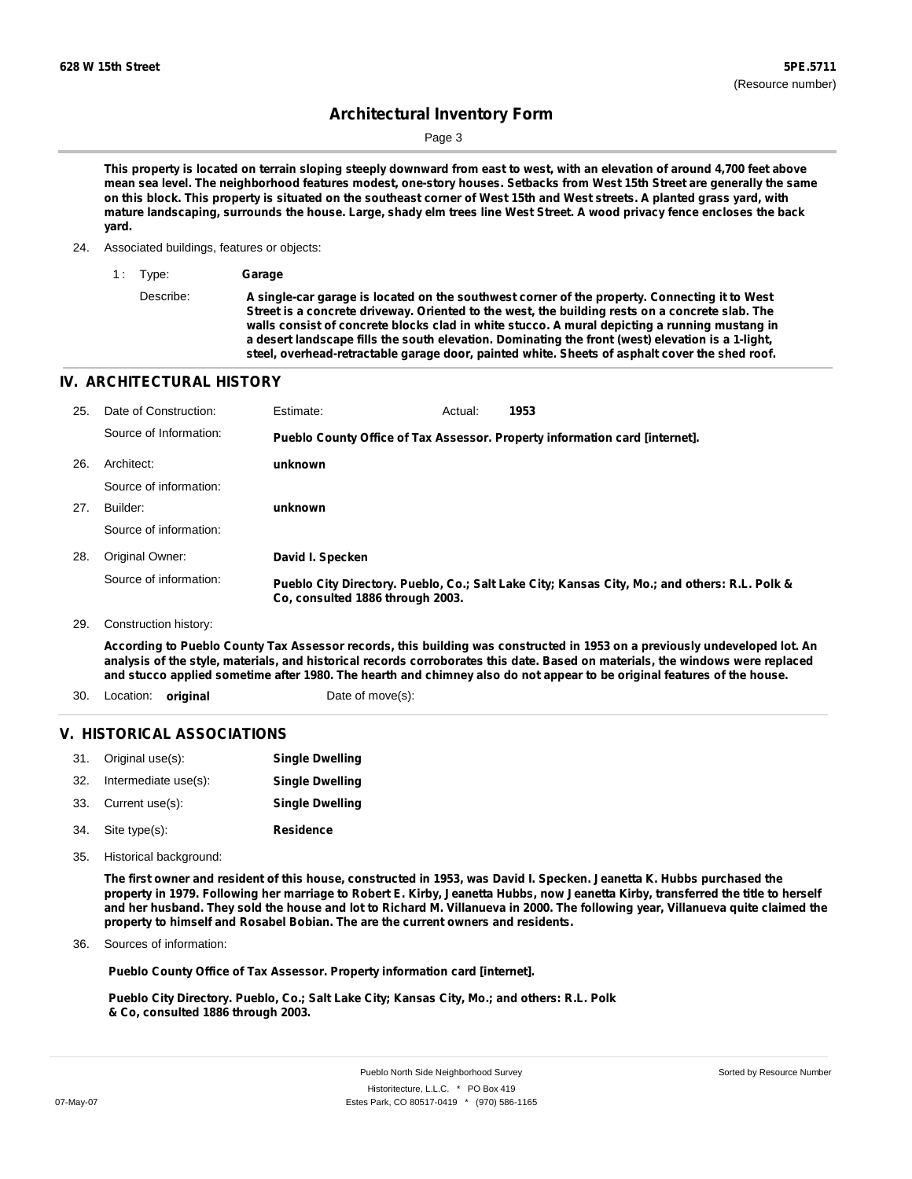Page 3

This property is located on terrain sloping steeply downward from east to west, with an elevation of around 4,700 feet above mean sea level. The neighborhood features modest, one-story houses. Setbacks from West 15th Street are generally the same on this block. This property is situated on the southeast corner of West 15th and West streets. A planted grass yard, with mature landscaping, surrounds the house. Large, shady elm trees line West Street. A wood privacy fence encloses the back **yard.**

#### 24. Associated buildings, features or objects:

1 : Type: **Garage**

Describe: **A single-car garage is located on the southwest corner of the property. Connecting it to West Street is a concrete driveway. Oriented to the west, the building rests on a concrete slab. The walls consist of concrete blocks clad in white stucco. A mural depicting a running mustang in a desert landscape fills the south elevation. Dominating the front (west) elevation is a 1-light, steel, overhead-retractable garage door, painted white. Sheets of asphalt cover the shed roof.**

#### **IV. ARCHITECTURAL HISTORY**

| 25. | Date of Construction:  | Estimate:                        | Actual: | 1953                                                                                          |
|-----|------------------------|----------------------------------|---------|-----------------------------------------------------------------------------------------------|
|     | Source of Information: |                                  |         | Pueblo County Office of Tax Assessor. Property information card [internet].                   |
| 26. | Architect:             | unknown                          |         |                                                                                               |
|     | Source of information: |                                  |         |                                                                                               |
| 27. | Builder:               | unknown                          |         |                                                                                               |
|     | Source of information: |                                  |         |                                                                                               |
| 28. | Original Owner:        | David I. Specken                 |         |                                                                                               |
|     | Source of information: | Co, consulted 1886 through 2003. |         | Pueblo City Directory. Pueblo, Co.; Salt Lake City; Kansas City, Mo.; and others: R.L. Polk & |
| 29. | Construction history:  |                                  |         |                                                                                               |

According to Pueblo County Tax Assessor records, this building was constructed in 1953 on a previously undeveloped lot. An analysis of the style, materials, and historical records corroborates this date. Based on materials, the windows were replaced and stucco applied sometime after 1980. The hearth and chimney also do not appear to be original features of the house.

30. Location: **original Date of move(s):** 

#### **V. HISTORICAL ASSOCIATIONS**

|     | 31. Original use(s): | <b>Single Dwelling</b> |
|-----|----------------------|------------------------|
| 32. | Intermediate use(s): | <b>Single Dwelling</b> |
| 33. | Current use(s):      | <b>Single Dwelling</b> |
|     |                      |                        |

- **Residence** Site type(s): 34.
- 35. Historical background:

The first owner and resident of this house, constructed in 1953, was David I. Specken. Jeanetta K. Hubbs purchased the property in 1979. Following her marriage to Robert E. Kirby, Jeanetta Hubbs, now Jeanetta Kirby, transferred the title to herself and her husband. They sold the house and lot to Richard M. Villanueva in 2000. The following year, Villanueva quite claimed the **property to himself and Rosabel Bobian. The are the current owners and residents.**

Sources of information: 36.

**Pueblo County Office of Tax Assessor. Property information card [internet].**

**Pueblo City Directory. Pueblo, Co.; Salt Lake City; Kansas City, Mo.; and others: R.L. Polk & Co, consulted 1886 through 2003.**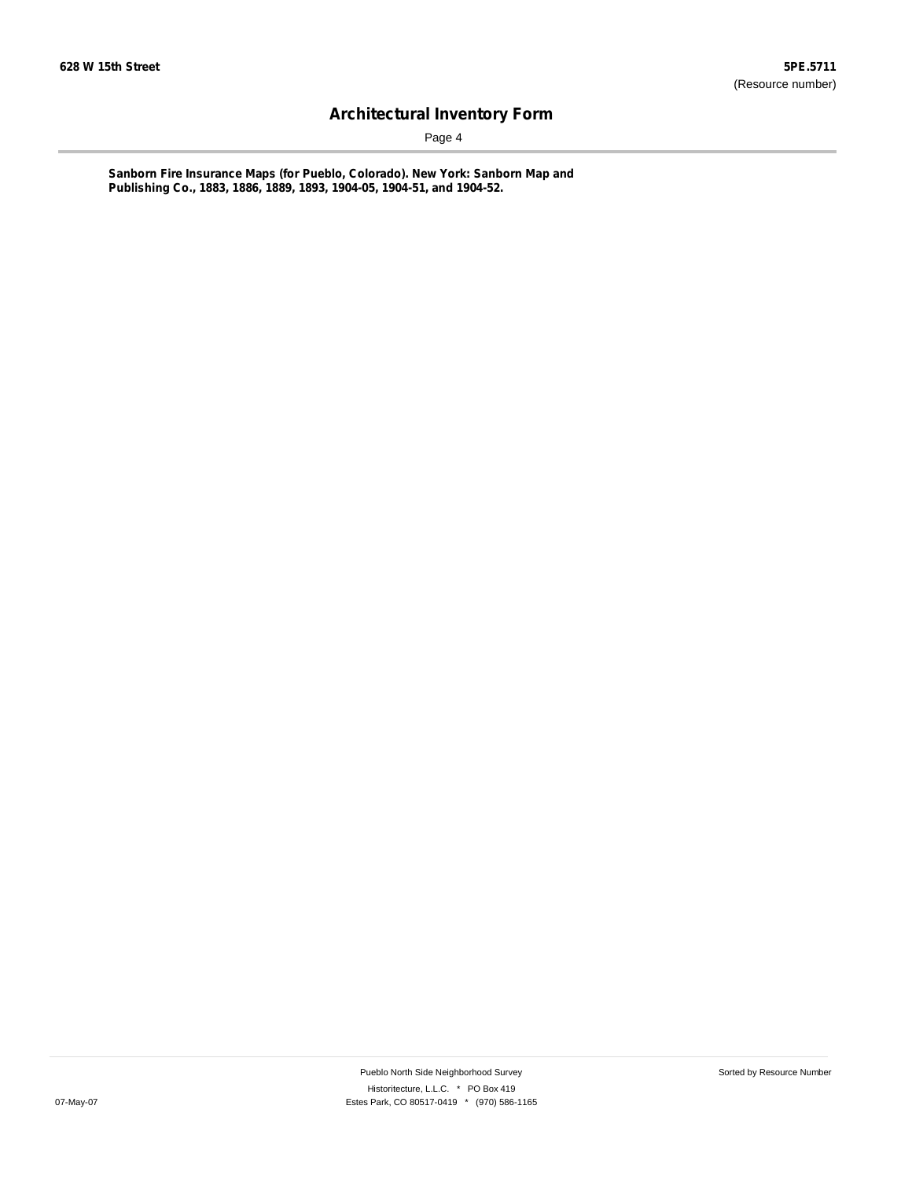Page 4

**Sanborn Fire Insurance Maps (for Pueblo, Colorado). New York: Sanborn Map and Publishing Co., 1883, 1886, 1889, 1893, 1904-05, 1904-51, and 1904-52.**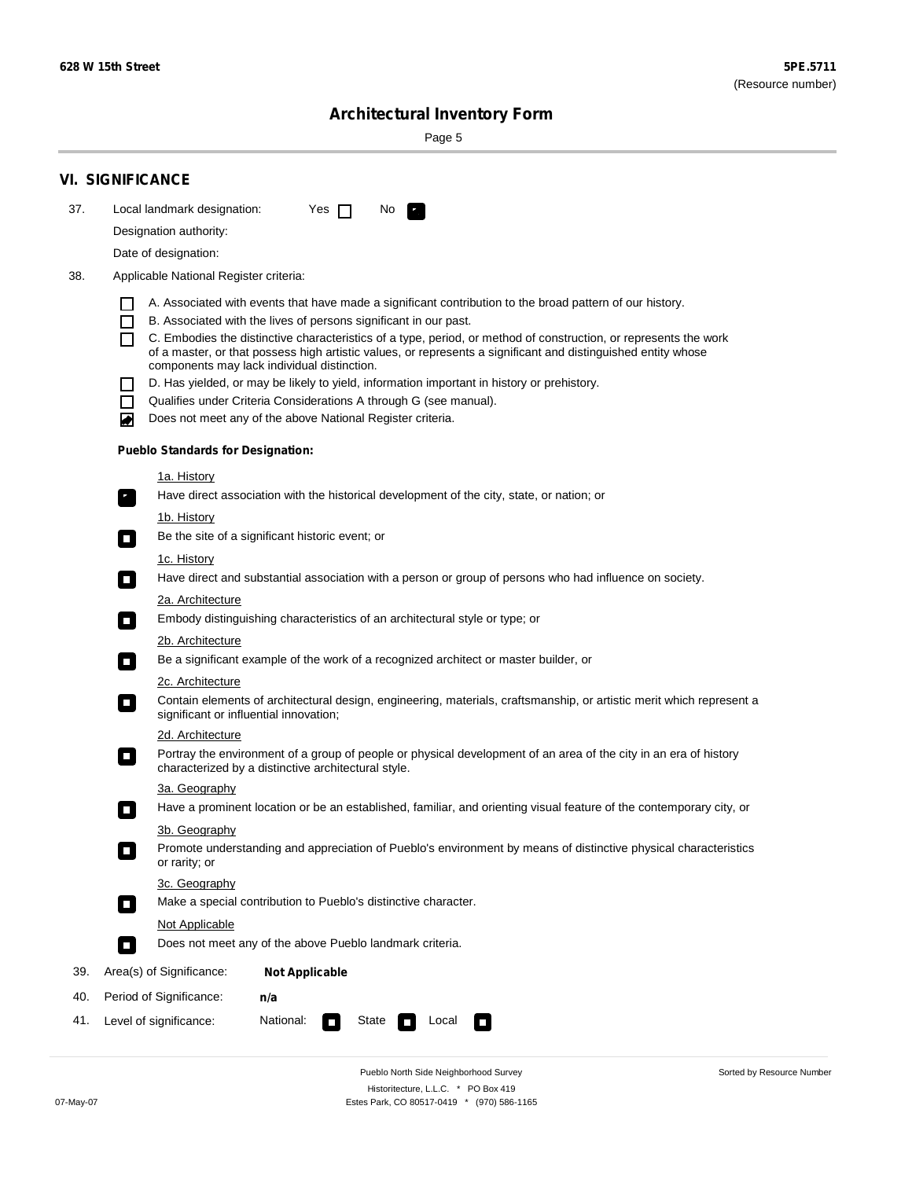Sorted by Resource Number

# **Architectural Inventory Form**

Page 5

|     | <b>VI. SIGNIFICANCE</b>                                                                                                                                                                        |  |  |  |  |  |  |
|-----|------------------------------------------------------------------------------------------------------------------------------------------------------------------------------------------------|--|--|--|--|--|--|
| 37. | Local landmark designation:<br>Yes $\Box$<br>No.<br>$\mathbf{F}_{\mathbf{r}}$                                                                                                                  |  |  |  |  |  |  |
|     | Designation authority:                                                                                                                                                                         |  |  |  |  |  |  |
|     | Date of designation:                                                                                                                                                                           |  |  |  |  |  |  |
| 38. | Applicable National Register criteria:                                                                                                                                                         |  |  |  |  |  |  |
|     |                                                                                                                                                                                                |  |  |  |  |  |  |
|     | A. Associated with events that have made a significant contribution to the broad pattern of our history.<br>B. Associated with the lives of persons significant in our past.<br>$\blacksquare$ |  |  |  |  |  |  |
|     | C. Embodies the distinctive characteristics of a type, period, or method of construction, or represents the work                                                                               |  |  |  |  |  |  |
|     | of a master, or that possess high artistic values, or represents a significant and distinguished entity whose<br>components may lack individual distinction.                                   |  |  |  |  |  |  |
|     | D. Has yielded, or may be likely to yield, information important in history or prehistory.                                                                                                     |  |  |  |  |  |  |
|     | Qualifies under Criteria Considerations A through G (see manual).<br>$\sim$                                                                                                                    |  |  |  |  |  |  |
|     | Does not meet any of the above National Register criteria.<br>₩                                                                                                                                |  |  |  |  |  |  |
|     | <b>Pueblo Standards for Designation:</b>                                                                                                                                                       |  |  |  |  |  |  |
|     | 1a. History                                                                                                                                                                                    |  |  |  |  |  |  |
|     | $\overline{\mathbf{r}}_1$<br>Have direct association with the historical development of the city, state, or nation; or                                                                         |  |  |  |  |  |  |
|     | <u>1b. History</u>                                                                                                                                                                             |  |  |  |  |  |  |
|     | Be the site of a significant historic event; or<br>$\overline{\phantom{a}}$                                                                                                                    |  |  |  |  |  |  |
|     | 1c. History                                                                                                                                                                                    |  |  |  |  |  |  |
|     | Have direct and substantial association with a person or group of persons who had influence on society.<br>$\overline{\phantom{a}}$                                                            |  |  |  |  |  |  |
|     | 2a. Architecture                                                                                                                                                                               |  |  |  |  |  |  |
|     | Embody distinguishing characteristics of an architectural style or type; or<br>$\Box$                                                                                                          |  |  |  |  |  |  |
|     | 2b. Architecture                                                                                                                                                                               |  |  |  |  |  |  |
|     | Be a significant example of the work of a recognized architect or master builder, or<br>$\Box$                                                                                                 |  |  |  |  |  |  |
|     | 2c. Architecture                                                                                                                                                                               |  |  |  |  |  |  |
|     | Contain elements of architectural design, engineering, materials, craftsmanship, or artistic merit which represent a<br>$\Box$<br>significant or influential innovation;                       |  |  |  |  |  |  |
|     | 2d. Architecture                                                                                                                                                                               |  |  |  |  |  |  |
|     | Portray the environment of a group of people or physical development of an area of the city in an era of history<br>$\Box$<br>characterized by a distinctive architectural style.              |  |  |  |  |  |  |
|     | 3a. Geography                                                                                                                                                                                  |  |  |  |  |  |  |
|     | Have a prominent location or be an established, familiar, and orienting visual feature of the contemporary city, or                                                                            |  |  |  |  |  |  |
|     | 3b. Geography<br>Promote understanding and appreciation of Pueblo's environment by means of distinctive physical characteristics                                                               |  |  |  |  |  |  |
|     | or rarity; or                                                                                                                                                                                  |  |  |  |  |  |  |
|     | 3c. Geography                                                                                                                                                                                  |  |  |  |  |  |  |
|     | Make a special contribution to Pueblo's distinctive character.<br>$\overline{\phantom{a}}$                                                                                                     |  |  |  |  |  |  |
|     | <b>Not Applicable</b>                                                                                                                                                                          |  |  |  |  |  |  |
|     | Does not meet any of the above Pueblo landmark criteria.<br>$\overline{\phantom{a}}$                                                                                                           |  |  |  |  |  |  |
| 39. | Area(s) of Significance:<br><b>Not Applicable</b>                                                                                                                                              |  |  |  |  |  |  |
| 40. | Period of Significance:<br>n/a                                                                                                                                                                 |  |  |  |  |  |  |
| 41. | National:<br>Level of significance:<br>State<br>Local<br>$\mathcal{L}_{\mathcal{A}}$<br>$\Box$                                                                                                 |  |  |  |  |  |  |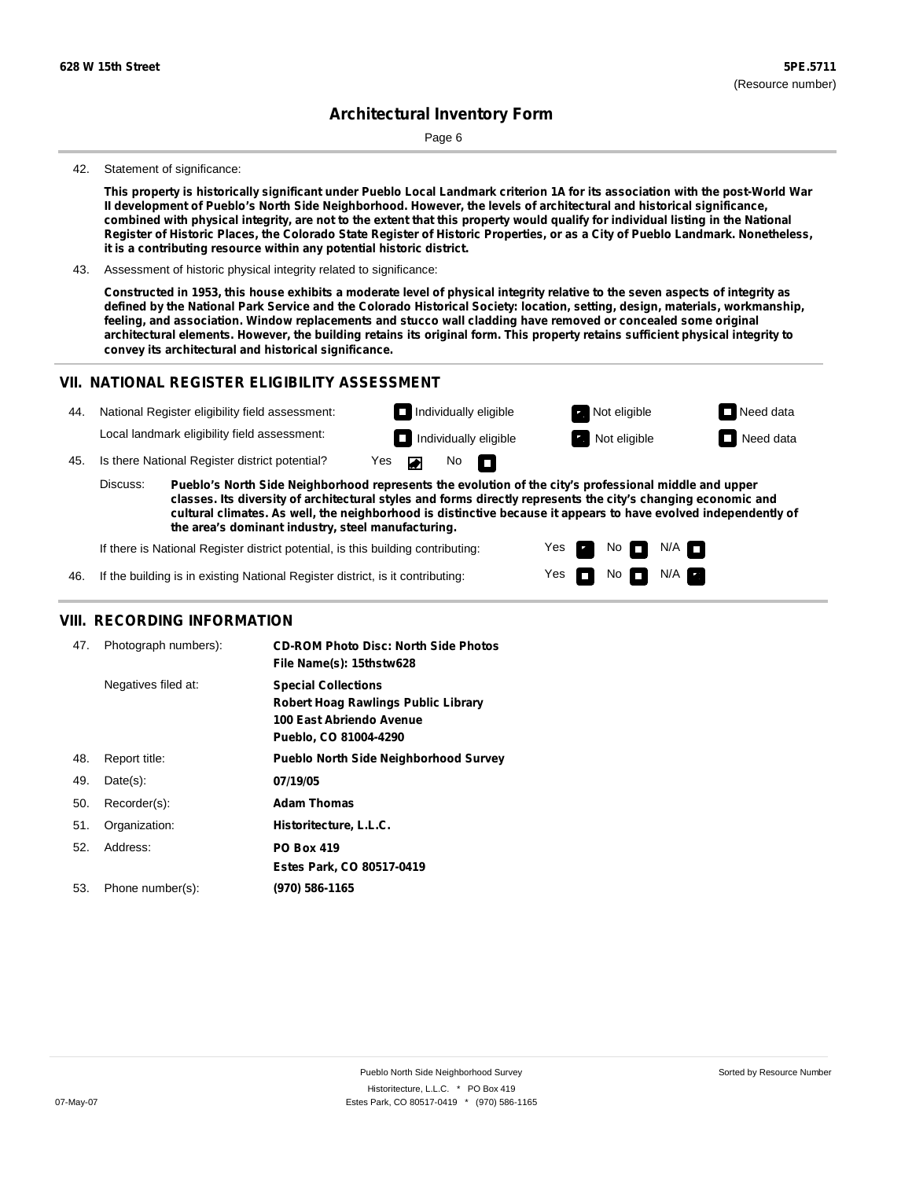Page 6

#### 42. Statement of significance:

This property is historically significant under Pueblo Local Landmark criterion 1A for its association with the post-World War **II development of Pueblo's North Side Neighborhood. However, the levels of architectural and historical significance,** combined with physical integrity, are not to the extent that this property would qualify for individual listing in the National Register of Historic Places, the Colorado State Register of Historic Properties, or as a City of Pueblo Landmark. Nonetheless, **it is a contributing resource within any potential historic district.**

43. Assessment of historic physical integrity related to significance:

Constructed in 1953, this house exhibits a moderate level of physical integrity relative to the seven aspects of integrity as defined by the National Park Service and the Colorado Historical Society: location, setting, design, materials, workmanship, **feeling, and association. Window replacements and stucco wall cladding have removed or concealed some original** architectural elements. However, the building retains its original form. This property retains sufficient physical integrity to **convey its architectural and historical significance.**

#### **VII. NATIONAL REGISTER ELIGIBILITY ASSESSMENT**

| 44.                                                                                                                                                                                                                                | National Register eligibility field assessment: |                                              |                      | $\Box$ Individually eligible |  |                              | Not eligible | $\Box$ Need data |
|------------------------------------------------------------------------------------------------------------------------------------------------------------------------------------------------------------------------------------|-------------------------------------------------|----------------------------------------------|----------------------|------------------------------|--|------------------------------|--------------|------------------|
|                                                                                                                                                                                                                                    |                                                 | Local landmark eligibility field assessment: |                      |                              |  | $\Box$ Individually eligible | Not eligible | $\Box$ Need data |
| 45.                                                                                                                                                                                                                                | Is there National Register district potential?  |                                              | No $\Box$<br>Yes Dan |                              |  |                              |              |                  |
| Discuss:<br>Pueblo's North Side Neighborhood represents the evolution of the city's professional middle and upper<br>classes. Its diversity of architectural styles and forms directly represents the city's changing economic and |                                                 |                                              |                      |                              |  |                              |              |                  |

**cultural climates. As well, the neighborhood is distinctive because it appears to have evolved independently of the area's dominant industry, steel manufacturing.**

> Yes Yes

No

No  $\blacksquare$  N/A  $\blacksquare$ 

 $N/A$ 

If there is National Register district potential, is this building contributing:

46. If the building is in existing National Register district, is it contributing:

#### **VIII. RECORDING INFORMATION**

| 47. | Photograph numbers): | <b>CD-ROM Photo Disc: North Side Photos</b><br>File Name(s): 15thstw628                                                       |
|-----|----------------------|-------------------------------------------------------------------------------------------------------------------------------|
|     | Negatives filed at:  | <b>Special Collections</b><br><b>Robert Hoag Rawlings Public Library</b><br>100 East Abriendo Avenue<br>Pueblo, CO 81004-4290 |
| 48. | Report title:        | <b>Pueblo North Side Neighborhood Survey</b>                                                                                  |
| 49. | $Date(s)$ :          | 07/19/05                                                                                                                      |
| 50. | Recorder(s):         | <b>Adam Thomas</b>                                                                                                            |
| 51. | Organization:        | Historitecture, L.L.C.                                                                                                        |
| 52. | Address:             | <b>PO Box 419</b>                                                                                                             |
|     |                      | Estes Park, CO 80517-0419                                                                                                     |
| 53. | Phone number(s):     | (970) 586-1165                                                                                                                |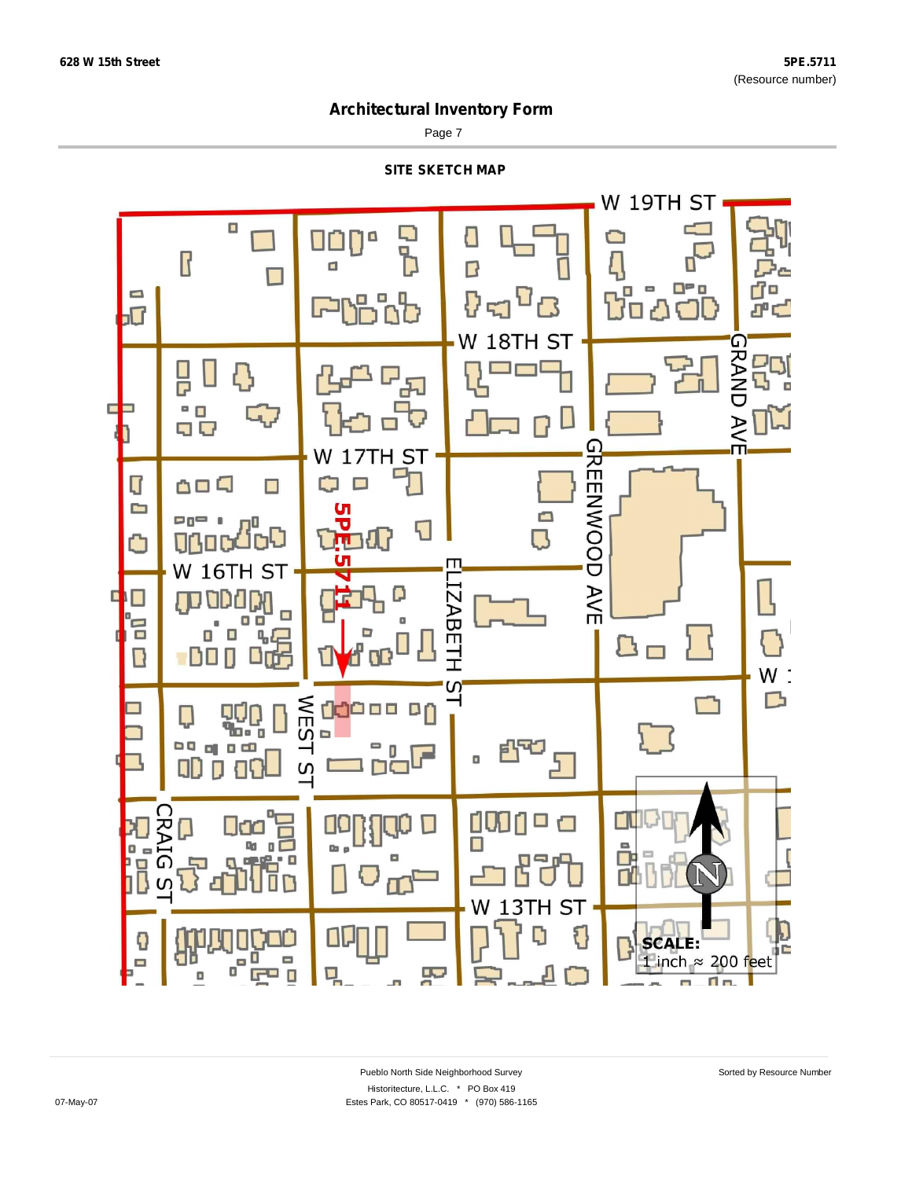Page 7



무

m.

 $F = 0$ 

 $\Box$ 

믹

T a.

m.